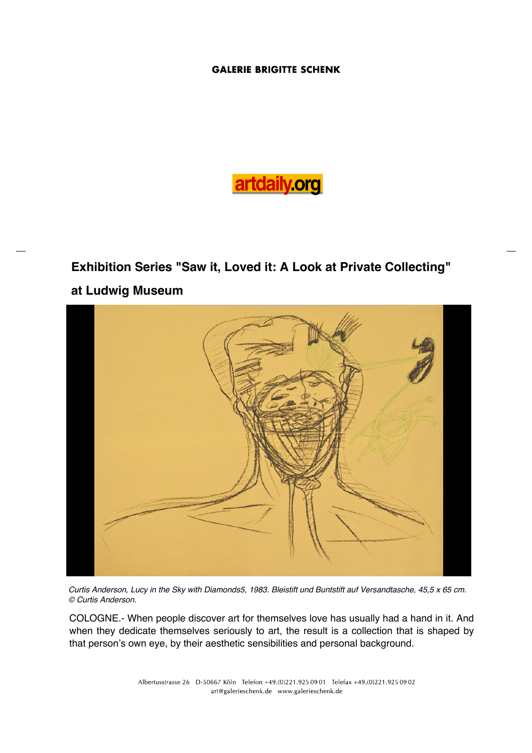# artdaily.org

## **Exhibition Series "Saw it, Loved it: A Look at Private Collecting" at Ludwig Museum**



Curtis Anderson, Lucy in the Sky with Diamonds5, 1983. Bleistift und Buntstift auf Versandtasche, 45,5 x 65 cm. © Curtis Anderson.

COLOGNE.- When people discover art for themselves love has usually had a hand in it. And when they dedicate themselves seriously to art, the result is a collection that is shaped by that person's own eye, by their aesthetic sensibilities and personal background.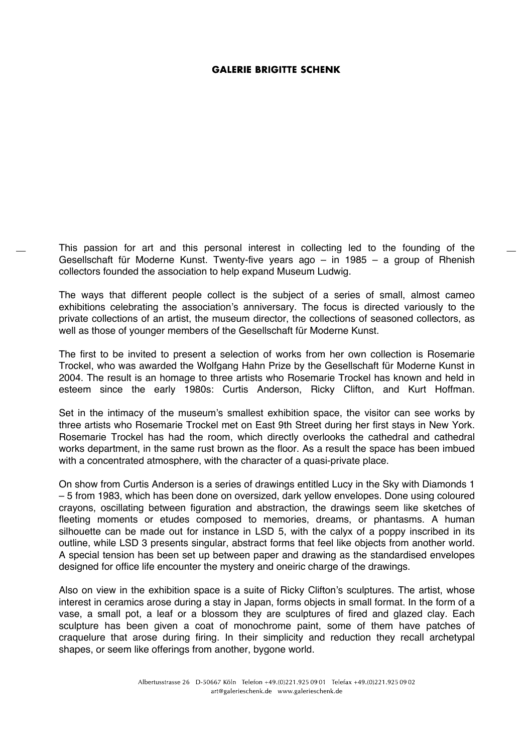This passion for art and this personal interest in collecting led to the founding of the Gesellschaft für Moderne Kunst. Twenty-five years ago – in 1985 – a group of Rhenish collectors founded the association to help expand Museum Ludwig.

The ways that different people collect is the subject of a series of small, almost cameo exhibitions celebrating the association's anniversary. The focus is directed variously to the private collections of an artist, the museum director, the collections of seasoned collectors, as well as those of younger members of the Gesellschaft für Moderne Kunst.

The first to be invited to present a selection of works from her own collection is Rosemarie Trockel, who was awarded the Wolfgang Hahn Prize by the Gesellschaft für Moderne Kunst in 2004. The result is an homage to three artists who Rosemarie Trockel has known and held in esteem since the early 1980s: Curtis Anderson, Ricky Clifton, and Kurt Hoffman.

Set in the intimacy of the museum's smallest exhibition space, the visitor can see works by three artists who Rosemarie Trockel met on East 9th Street during her first stays in New York. Rosemarie Trockel has had the room, which directly overlooks the cathedral and cathedral works department, in the same rust brown as the floor. As a result the space has been imbued with a concentrated atmosphere, with the character of a quasi-private place.

On show from Curtis Anderson is a series of drawings entitled Lucy in the Sky with Diamonds 1 – 5 from 1983, which has been done on oversized, dark yellow envelopes. Done using coloured crayons, oscillating between figuration and abstraction, the drawings seem like sketches of fleeting moments or etudes composed to memories, dreams, or phantasms. A human silhouette can be made out for instance in LSD 5, with the calyx of a poppy inscribed in its outline, while LSD 3 presents singular, abstract forms that feel like objects from another world. A special tension has been set up between paper and drawing as the standardised envelopes designed for office life encounter the mystery and oneiric charge of the drawings.

Also on view in the exhibition space is a suite of Ricky Clifton's sculptures. The artist, whose interest in ceramics arose during a stay in Japan, forms objects in small format. In the form of a vase, a small pot, a leaf or a blossom they are sculptures of fired and glazed clay. Each sculpture has been given a coat of monochrome paint, some of them have patches of craquelure that arose during firing. In their simplicity and reduction they recall archetypal shapes, or seem like offerings from another, bygone world.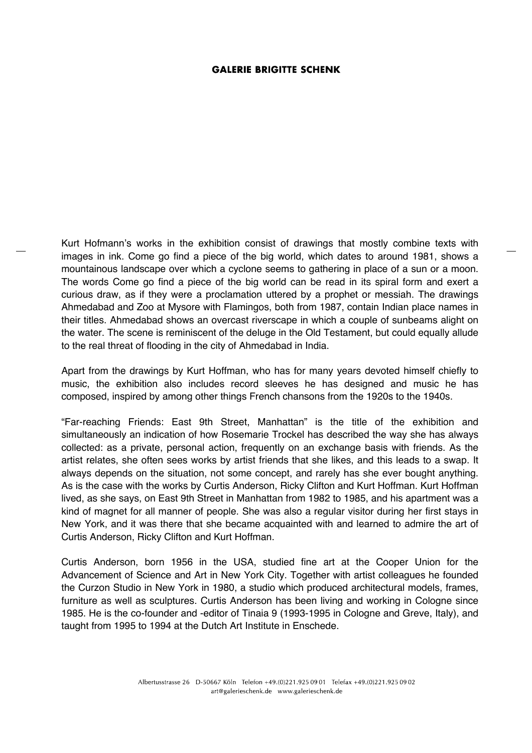Kurt Hofmann's works in the exhibition consist of drawings that mostly combine texts with images in ink. Come go find a piece of the big world, which dates to around 1981, shows a mountainous landscape over which a cyclone seems to gathering in place of a sun or a moon. The words Come go find a piece of the big world can be read in its spiral form and exert a curious draw, as if they were a proclamation uttered by a prophet or messiah. The drawings Ahmedabad and Zoo at Mysore with Flamingos, both from 1987, contain Indian place names in their titles. Ahmedabad shows an overcast riverscape in which a couple of sunbeams alight on the water. The scene is reminiscent of the deluge in the Old Testament, but could equally allude to the real threat of flooding in the city of Ahmedabad in India.

Apart from the drawings by Kurt Hoffman, who has for many years devoted himself chiefly to music, the exhibition also includes record sleeves he has designed and music he has composed, inspired by among other things French chansons from the 1920s to the 1940s.

"Far-reaching Friends: East 9th Street, Manhattan" is the title of the exhibition and simultaneously an indication of how Rosemarie Trockel has described the way she has always collected: as a private, personal action, frequently on an exchange basis with friends. As the artist relates, she often sees works by artist friends that she likes, and this leads to a swap. It always depends on the situation, not some concept, and rarely has she ever bought anything. As is the case with the works by Curtis Anderson, Ricky Clifton and Kurt Hoffman. Kurt Hoffman lived, as she says, on East 9th Street in Manhattan from 1982 to 1985, and his apartment was a kind of magnet for all manner of people. She was also a regular visitor during her first stays in New York, and it was there that she became acquainted with and learned to admire the art of Curtis Anderson, Ricky Clifton and Kurt Hoffman.

Curtis Anderson, born 1956 in the USA, studied fine art at the Cooper Union for the Advancement of Science and Art in New York City. Together with artist colleagues he founded the Curzon Studio in New York in 1980, a studio which produced architectural models, frames, furniture as well as sculptures. Curtis Anderson has been living and working in Cologne since 1985. He is the co-founder and -editor of Tinaia 9 (1993-1995 in Cologne and Greve, Italy), and taught from 1995 to 1994 at the Dutch Art Institute in Enschede.